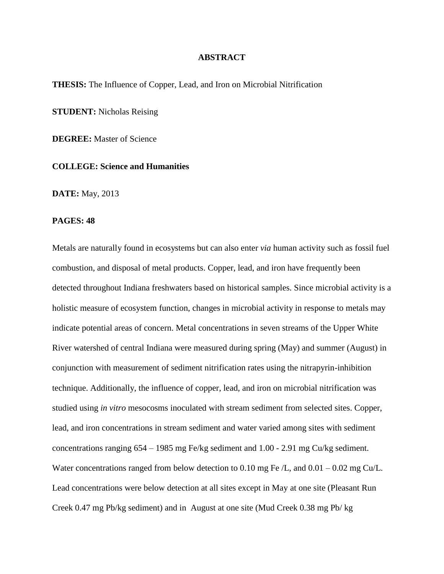## **ABSTRACT**

**THESIS:** The Influence of Copper, Lead, and Iron on Microbial Nitrification

**STUDENT:** Nicholas Reising

**DEGREE:** Master of Science

## **COLLEGE: Science and Humanities**

**DATE:** May, 2013

## **PAGES: 48**

Metals are naturally found in ecosystems but can also enter *via* human activity such as fossil fuel combustion, and disposal of metal products. Copper, lead, and iron have frequently been detected throughout Indiana freshwaters based on historical samples. Since microbial activity is a holistic measure of ecosystem function, changes in microbial activity in response to metals may indicate potential areas of concern. Metal concentrations in seven streams of the Upper White River watershed of central Indiana were measured during spring (May) and summer (August) in conjunction with measurement of sediment nitrification rates using the nitrapyrin-inhibition technique. Additionally, the influence of copper, lead, and iron on microbial nitrification was studied using *in vitro* mesocosms inoculated with stream sediment from selected sites. Copper, lead, and iron concentrations in stream sediment and water varied among sites with sediment concentrations ranging 654 – 1985 mg Fe/kg sediment and 1.00 - 2.91 mg Cu/kg sediment. Water concentrations ranged from below detection to 0.10 mg Fe  $/L$ , and 0.01 – 0.02 mg Cu/L. Lead concentrations were below detection at all sites except in May at one site (Pleasant Run Creek 0.47 mg Pb/kg sediment) and in August at one site (Mud Creek 0.38 mg Pb/ kg